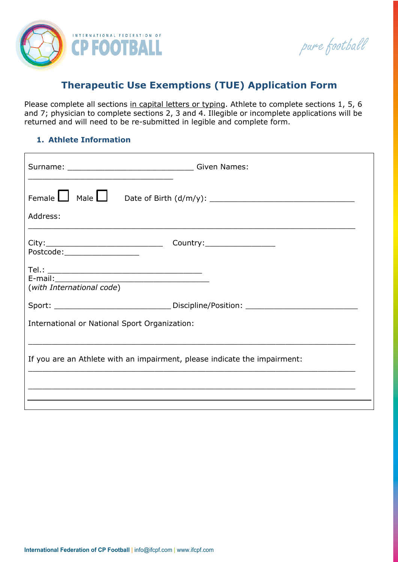

pure football

# **Therapeutic Use Exemptions (TUE) Application Form**

Please complete all sections in capital letters or typing. Athlete to complete sections 1, 5, 6 and 7; physician to complete sections 2, 3 and 4. Illegible or incomplete applications will be returned and will need to be re-submitted in legible and complete form.

### **1. Athlete Information**

| Address:                                                                          |  |  |  |  |  |  |
|-----------------------------------------------------------------------------------|--|--|--|--|--|--|
| Postcode:____________________                                                     |  |  |  |  |  |  |
| $\begin{tabular}{c} Tel.: \end{tabular}$ Tel.:<br>(with International code)       |  |  |  |  |  |  |
| Sport: __________________________________Discipline/Position: ___________________ |  |  |  |  |  |  |
| International or National Sport Organization:                                     |  |  |  |  |  |  |
| If you are an Athlete with an impairment, please indicate the impairment:         |  |  |  |  |  |  |
|                                                                                   |  |  |  |  |  |  |
|                                                                                   |  |  |  |  |  |  |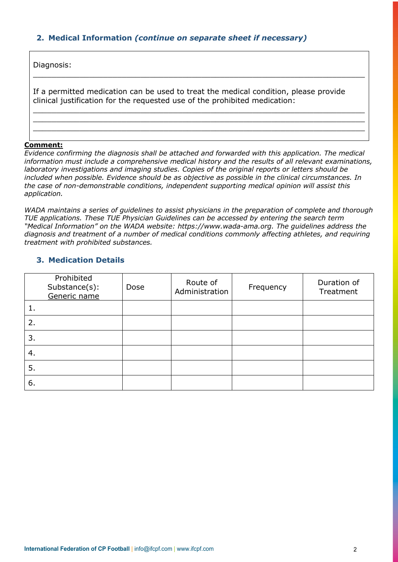### **2. Medical Information** *(continue on separate sheet if necessary)*

Diagnosis:

If a permitted medication can be used to treat the medical condition, please provide clinical justification for the requested use of the prohibited medication:

 $\_$  , and the set of the set of the set of the set of the set of the set of the set of the set of the set of the set of the set of the set of the set of the set of the set of the set of the set of the set of the set of th

 $\_$  , and the set of the set of the set of the set of the set of the set of the set of the set of the set of the set of the set of the set of the set of the set of the set of the set of the set of the set of the set of th  $\_$  , and the set of the set of the set of the set of the set of the set of the set of the set of the set of the set of the set of the set of the set of the set of the set of the set of the set of the set of the set of th  $\_$  , and the set of the set of the set of the set of the set of the set of the set of the set of the set of the set of the set of the set of the set of the set of the set of the set of the set of the set of the set of th

#### **Comment:**

*Evidence confirming the diagnosis shall be attached and forwarded with this application. The medical information must include a comprehensive medical history and the results of all relevant examinations, laboratory investigations and imaging studies. Copies of the original reports or letters should be included when possible. Evidence should be as objective as possible in the clinical circumstances. In the case of non-demonstrable conditions, independent supporting medical opinion will assist this application.*

*WADA maintains a series of guidelines to assist physicians in the preparation of complete and thorough TUE applications. These TUE Physician Guidelines can be accessed by entering the search term "Medical Information" on the WADA website: https://www.wada-ama.org. The guidelines address the diagnosis and treatment of a number of medical conditions commonly affecting athletes, and requiring treatment with prohibited substances.*

#### **3. Medication Details**

|    | Prohibited<br>Substance(s):<br>Generic name | Dose | Route of<br>Administration | Frequency | Duration of<br>Treatment |
|----|---------------------------------------------|------|----------------------------|-----------|--------------------------|
|    |                                             |      |                            |           |                          |
| 2. |                                             |      |                            |           |                          |
| 3. |                                             |      |                            |           |                          |
| 4. |                                             |      |                            |           |                          |
| 5. |                                             |      |                            |           |                          |
| 6. |                                             |      |                            |           |                          |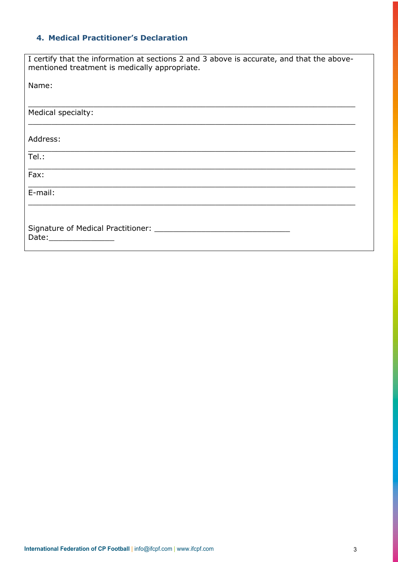# **4. Medical Practitioner's Declaration**

| I certify that the information at sections 2 and 3 above is accurate, and that the above-<br>mentioned treatment is medically appropriate. |  |  |  |  |  |
|--------------------------------------------------------------------------------------------------------------------------------------------|--|--|--|--|--|
| Name:                                                                                                                                      |  |  |  |  |  |
|                                                                                                                                            |  |  |  |  |  |
| Medical specialty:                                                                                                                         |  |  |  |  |  |
|                                                                                                                                            |  |  |  |  |  |
| Address:                                                                                                                                   |  |  |  |  |  |
| Tel.:                                                                                                                                      |  |  |  |  |  |
| Fax:                                                                                                                                       |  |  |  |  |  |
|                                                                                                                                            |  |  |  |  |  |
| E-mail:                                                                                                                                    |  |  |  |  |  |
|                                                                                                                                            |  |  |  |  |  |
|                                                                                                                                            |  |  |  |  |  |
| Date: Date:                                                                                                                                |  |  |  |  |  |
|                                                                                                                                            |  |  |  |  |  |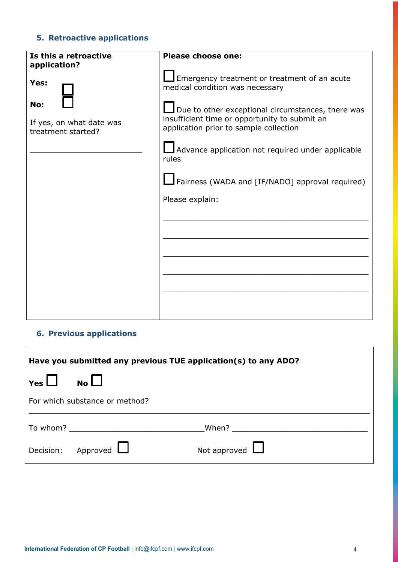# **5. Retroactive applications**

| Is this a retroactive                                 | <b>Please choose one:</b>                                                                                                                           |
|-------------------------------------------------------|-----------------------------------------------------------------------------------------------------------------------------------------------------|
| application?<br>Yes:                                  | $\Box$ Emergency treatment or treatment of an acute<br>medical condition was necessary                                                              |
| No:<br>If yes, on what date was<br>treatment started? | $\Box$ Due to other exceptional circumstances, there was<br>insufficient time or opportunity to submit an<br>application prior to sample collection |
|                                                       | Advance application not required under applicable<br>rules                                                                                          |
|                                                       | Fairness (WADA and [IF/NADO] approval required)                                                                                                     |
|                                                       | Please explain:                                                                                                                                     |
|                                                       |                                                                                                                                                     |
|                                                       |                                                                                                                                                     |
|                                                       |                                                                                                                                                     |
|                                                       |                                                                                                                                                     |
|                                                       |                                                                                                                                                     |

# **6. Previous applications**

| Have you submitted any previous TUE application(s) to any ADO? |                                                                                                                                                                                                                                |                       |  |  |  |  |
|----------------------------------------------------------------|--------------------------------------------------------------------------------------------------------------------------------------------------------------------------------------------------------------------------------|-----------------------|--|--|--|--|
| Yes $\Box$                                                     | N <sub>o</sub>                                                                                                                                                                                                                 |                       |  |  |  |  |
| For which substance or method?                                 |                                                                                                                                                                                                                                |                       |  |  |  |  |
|                                                                | To whom? The whom the contract of the contract of the contract of the contract of the contract of the contract of the contract of the contract of the contract of the contract of the contract of the contract of the contract | When? $\qquad \qquad$ |  |  |  |  |
|                                                                | Decision: Approved                                                                                                                                                                                                             | Not approved $\Box$   |  |  |  |  |